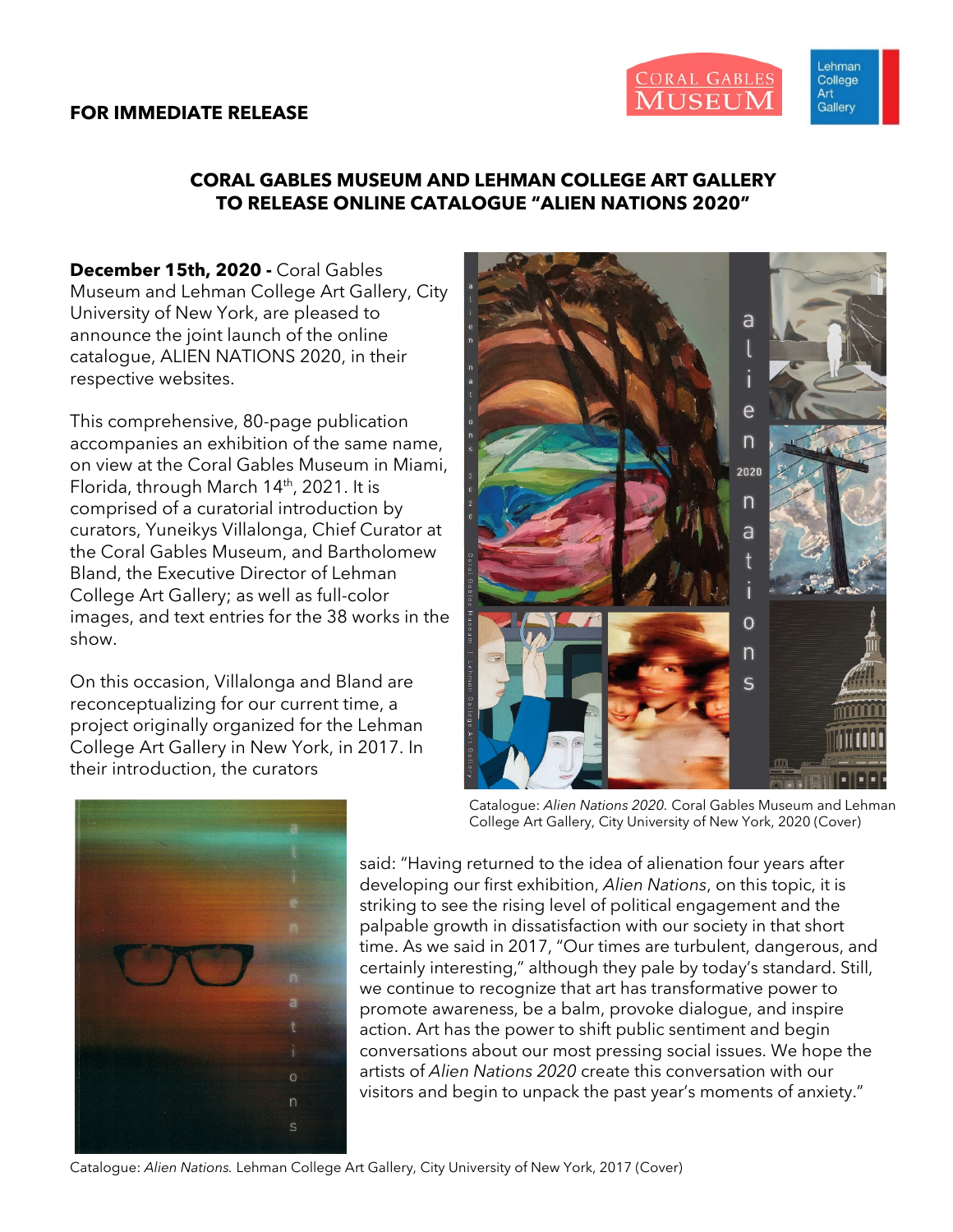#### **FOR IMMEDIATE RELEASE**



Lehman College Art Gallery

## **CORAL GABLES MUSEUM AND LEHMAN COLLEGE ART GALLERY TO RELEASE ONLINE CATALOGUE "ALIEN NATIONS 2020"**

**December 15th, 2020 -** Coral Gables Museum and Lehman College Art Gallery, City University of New York, are pleased to announce the joint launch of the online catalogue, ALIEN NATIONS 2020, in their respective websites.

This comprehensive, 80-page publication accompanies an exhibition of the same name, on view at the Coral Gables Museum in Miami, Florida, through March  $14<sup>th</sup>$ , 2021. It is comprised of a curatorial introduction by curators, Yuneikys Villalonga, Chief Curator at the Coral Gables Museum, and Bartholomew Bland, the Executive Director of Lehman College Art Gallery; as well as full-color images, and text entries for the 38 works in the show.

On this occasion, Villalonga and Bland are reconceptualizing for our current time, a project originally organized for the Lehman College Art Gallery in New York, in 2017. In their introduction, the curators





Catalogue: *Alien Nations 2020.* Coral Gables Museum and Lehman College Art Gallery, City University of New York, 2020 (Cover)

said: "Having returned to the idea of alienation four years after developing our first exhibition, *Alien Nations*, on this topic, it is striking to see the rising level of political engagement and the palpable growth in dissatisfaction with our society in that short time. As we said in 2017, "Our times are turbulent, dangerous, and certainly interesting," although they pale by today's standard. Still, we continue to recognize that art has transformative power to promote awareness, be a balm, provoke dialogue, and inspire action. Art has the power to shift public sentiment and begin conversations about our most pressing social issues. We hope the artists of *Alien Nations 2020* create this conversation with our visitors and begin to unpack the past year's moments of anxiety."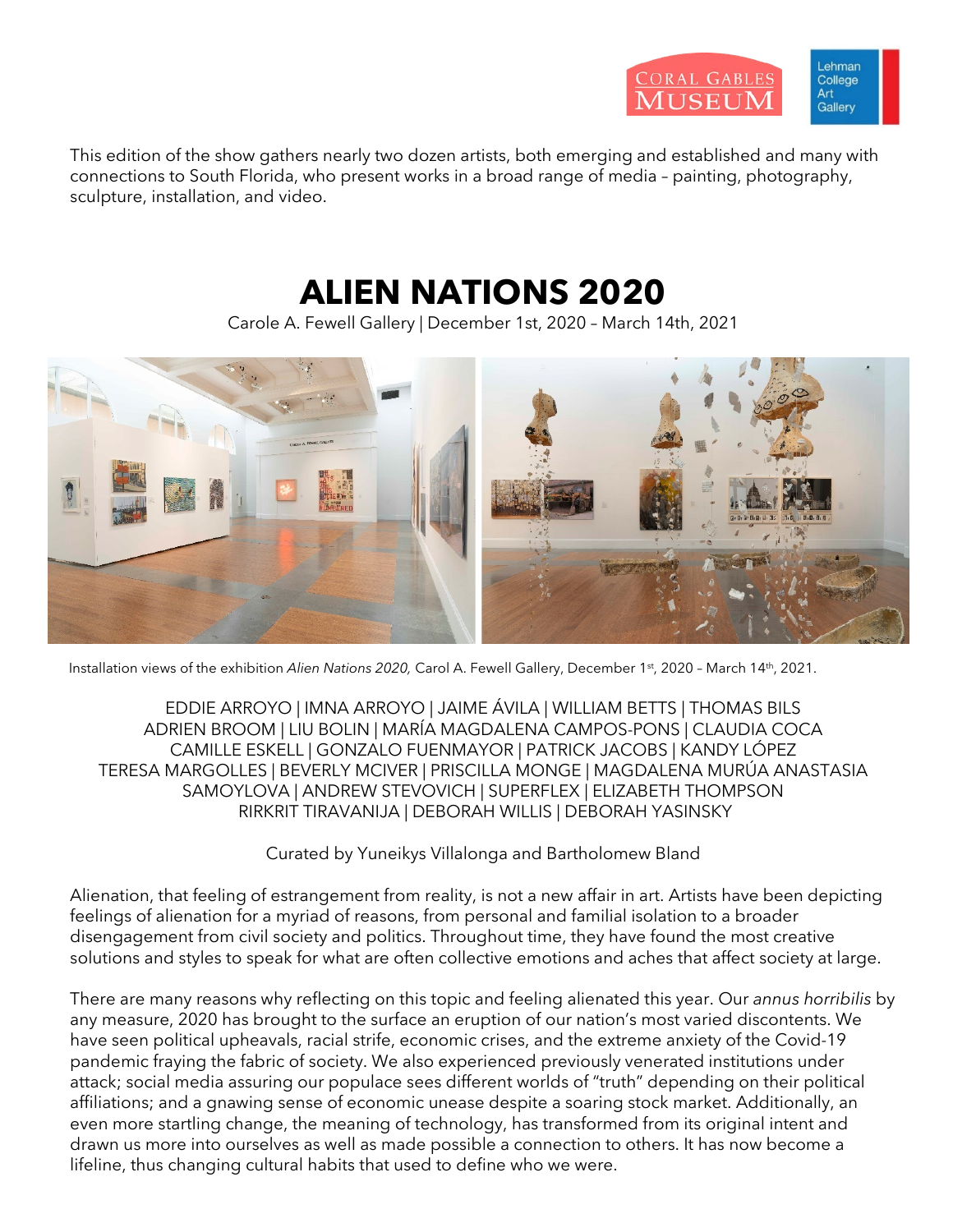

This edition of the show gathers nearly two dozen artists, both emerging and established and many with connections to South Florida, who present works in a broad range of media – painting, photography, sculpture, installation, and video.

## **ALIEN NATIONS 2020**

Carole A. Fewell Gallery | December 1st, 2020 – March 14th, 2021



Installation views of the exhibition *Alien Nations 2020,* Carol A. Fewell Gallery, December 1st, 2020 – March 14th, 2021.

EDDIE ARROYO | IMNA ARROYO | JAIME ÁVILA | WILLIAM BETTS | THOMAS BILS ADRIEN BROOM | LIU BOLIN | MARÍA MAGDALENA CAMPOS-PONS | CLAUDIA COCA CAMILLE ESKELL | GONZALO FUENMAYOR | PATRICK JACOBS | KANDY LÓPEZ TERESA MARGOLLES | BEVERLY MCIVER | PRISCILLA MONGE | MAGDALENA MURÚA ANASTASIA SAMOYLOVA | ANDREW STEVOVICH | SUPERFLEX | ELIZABETH THOMPSON RIRKRIT TIRAVANIJA | DEBORAH WILLIS | DEBORAH YASINSKY

Curated by Yuneikys Villalonga and Bartholomew Bland

Alienation, that feeling of estrangement from reality, is not a new affair in art. Artists have been depicting feelings of alienation for a myriad of reasons, from personal and familial isolation to a broader disengagement from civil society and politics. Throughout time, they have found the most creative solutions and styles to speak for what are often collective emotions and aches that affect society at large.

There are many reasons why reflecting on this topic and feeling alienated this year. Our *annus horribilis* by any measure, 2020 has brought to the surface an eruption of our nation's most varied discontents. We have seen political upheavals, racial strife, economic crises, and the extreme anxiety of the Covid-19 pandemic fraying the fabric of society. We also experienced previously venerated institutions under attack; social media assuring our populace sees different worlds of "truth" depending on their political affiliations; and a gnawing sense of economic unease despite a soaring stock market. Additionally, an even more startling change, the meaning of technology, has transformed from its original intent and drawn us more into ourselves as well as made possible a connection to others. It has now become a lifeline, thus changing cultural habits that used to define who we were.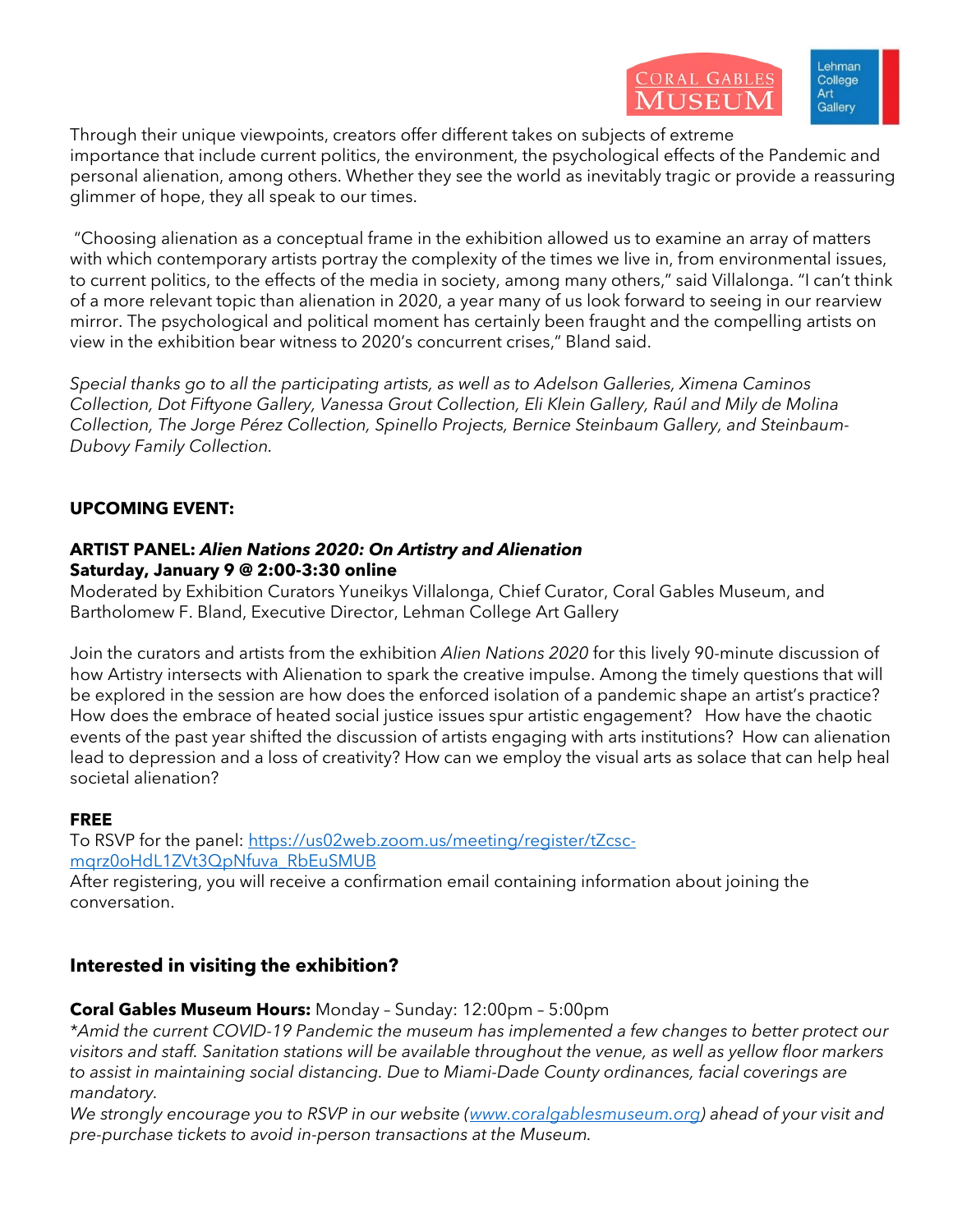Through their unique viewpoints, creators offer different takes on subjects of extreme importance that include current politics, the environment, the psychological effects of the Pandemic and personal alienation, among others. Whether they see the world as inevitably tragic or provide a reassuring glimmer of hope, they all speak to our times.

"Choosing alienation as a conceptual frame in the exhibition allowed us to examine an array of matters with which contemporary artists portray the complexity of the times we live in, from environmental issues, to current politics, to the effects of the media in society, among many others," said Villalonga. "I can't think of a more relevant topic than alienation in 2020, a year many of us look forward to seeing in our rearview mirror. The psychological and political moment has certainly been fraught and the compelling artists on view in the exhibition bear witness to 2020's concurrent crises," Bland said.

*Special thanks go to all the participating artists, as well as to Adelson Galleries, Ximena Caminos Collection, Dot Fiftyone Gallery, Vanessa Grout Collection, Eli Klein Gallery, Raúl and Mily de Molina Collection, The Jorge Pérez Collection, Spinello Projects, Bernice Steinbaum Gallery, and Steinbaum-Dubovy Family Collection.*

## **UPCOMING EVENT:**

#### **ARTIST PANEL:** *Alien Nations 2020: On Artistry and Alienation* **Saturday, January 9 @ 2:00-3:30 online**

Moderated by Exhibition Curators Yuneikys Villalonga, Chief Curator, Coral Gables Museum, and Bartholomew F. Bland, Executive Director, Lehman College Art Gallery

Join the curators and artists from the exhibition *Alien Nations 2020* for this lively 90-minute discussion of how Artistry intersects with Alienation to spark the creative impulse. Among the timely questions that will be explored in the session are how does the enforced isolation of a pandemic shape an artist's practice? How does the embrace of heated social justice issues spur artistic engagement? How have the chaotic events of the past year shifted the discussion of artists engaging with arts institutions? How can alienation lead to depression and a loss of creativity? How can we employ the visual arts as solace that can help heal societal alienation?

### **FREE**

To RSVP for the panel: [https://us02web.zoom.us/meeting/register/tZcsc](https://url.emailprotection.link/?b20i3Al4vE6BahX7Ly8TikKntdxatB-zd2_iwubAVa6d9tWDvXlVi7P6lyMbaO1SxtfHrzfbvxv3BwsPhJVmuYi5uCwwQqd3F5nJ3U4nP4Rie3uL6GZf72FQN0t69siQT0Ct5DhiyNVBtR5eqKnuOhlmh6d2noW26xJ42XDLqdJY%7E)[mqrz0oHdL1ZVt3QpNfuva\\_RbEuSMUB](https://url.emailprotection.link/?b20i3Al4vE6BahX7Ly8TikKntdxatB-zd2_iwubAVa6d9tWDvXlVi7P6lyMbaO1SxtfHrzfbvxv3BwsPhJVmuYi5uCwwQqd3F5nJ3U4nP4Rie3uL6GZf72FQN0t69siQT0Ct5DhiyNVBtR5eqKnuOhlmh6d2noW26xJ42XDLqdJY%7E)

After registering, you will receive a confirmation email containing information about joining the conversation.

## **Interested in visiting the exhibition?**

### **Coral Gables Museum Hours:** Monday – Sunday: 12:00pm – 5:00pm

*\*Amid the current COVID-19 Pandemic the museum has implemented a few changes to better protect our visitors and staff. Sanitation stations will be available throughout the venue, as well as yellow floor markers to assist in maintaining social distancing. Due to Miami-Dade County ordinances, facial coverings are mandatory.*

*We strongly encourage you to RSVP in our website [\(www.coralgablesmuseum.org\)](https://url.emailprotection.link/?bdnuwpCIbWPAGCRMFIta1oQ5kCVHJ6JXD877OA3gW88ceo_wY9vDB9hHxYxXEa153RhUsKbtkq0URouKBVJmvTQ%7E%7E) ahead of your visit and pre-purchase tickets to avoid in-person transactions at the Museum.*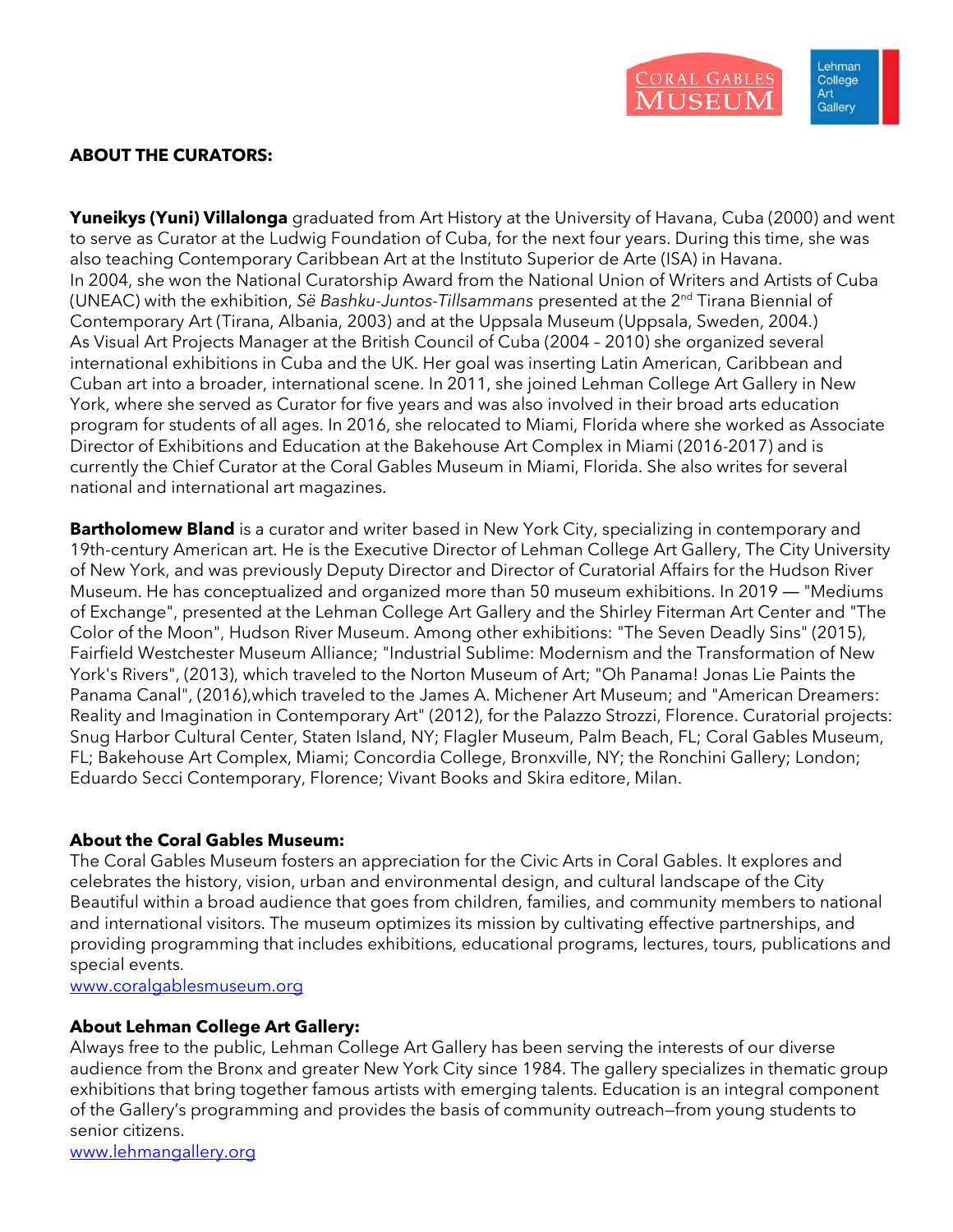

## **ABOUT THE CURATORS:**

**Yuneikys (Yuni) Villalonga** graduated from Art History at the University of Havana, Cuba (2000) and went to serve as Curator at the Ludwig Foundation of Cuba, for the next four years. During this time, she was also teaching Contemporary Caribbean Art at the Instituto Superior de Arte (ISA) in Havana. In 2004, she won the National Curatorship Award from the National Union of Writers and Artists of Cuba (UNEAC) with the exhibition, *Së Bashku-Juntos-Tillsammans* presented at the 2nd Tirana Biennial of Contemporary Art (Tirana, Albania, 2003) and at the Uppsala Museum (Uppsala, Sweden, 2004.) As Visual Art Projects Manager at the British Council of Cuba (2004 – 2010) she organized several international exhibitions in Cuba and the UK. Her goal was inserting Latin American, Caribbean and Cuban art into a broader, international scene. In 2011, she joined Lehman College Art Gallery in New York, where she served as Curator for five years and was also involved in their broad arts education program for students of all ages. In 2016, she relocated to Miami, Florida where she worked as Associate Director of Exhibitions and Education at the Bakehouse Art Complex in Miami (2016-2017) and is currently the Chief Curator at the Coral Gables Museum in Miami, Florida. She also writes for several national and international art magazines.

**Bartholomew Bland** is a curator and writer based in New York City, specializing in contemporary and 19th-century American art. He is the Executive Director of Lehman College Art Gallery, The City University of New York, and was previously Deputy Director and Director of Curatorial Affairs for the Hudson River Museum. He has conceptualized and organized more than 50 museum exhibitions. In 2019 — "Mediums of Exchange", presented at the Lehman College Art Gallery and the Shirley Fiterman Art Center and "The Color of the Moon", Hudson River Museum. Among other exhibitions: "The Seven Deadly Sins" (2015), Fairfield Westchester Museum Alliance; "Industrial Sublime: Modernism and the Transformation of New York's Rivers", (2013), which traveled to the Norton Museum of Art; "Oh Panama! Jonas Lie Paints the Panama Canal", (2016),which traveled to the James A. Michener Art Museum; and "American Dreamers: Reality and Imagination in Contemporary Art" (2012), for the Palazzo Strozzi, Florence. Curatorial projects: Snug Harbor Cultural Center, Staten Island, NY; Flagler Museum, Palm Beach, FL; Coral Gables Museum, FL; Bakehouse Art Complex, Miami; Concordia College, Bronxville, NY; the Ronchini Gallery; London; Eduardo Secci Contemporary, Florence; Vivant Books and Skira editore, Milan.

#### **About the Coral Gables Museum:**

The Coral Gables Museum fosters an appreciation for the Civic Arts in Coral Gables. It explores and celebrates the history, vision, urban and environmental design, and cultural landscape of the City Beautiful within a broad audience that goes from children, families, and community members to national and international visitors. The museum optimizes its mission by cultivating effective partnerships, and providing programming that includes exhibitions, educational programs, lectures, tours, publications and special events.

[www.coralgablesmuseum.org](http://www.coralgablesmuseum.org/)

#### **About Lehman College Art Gallery:**

Always free to the public, Lehman College Art Gallery has been serving the interests of our diverse audience from the Bronx and greater New York City since 1984. The gallery specializes in thematic group exhibitions that bring together famous artists with emerging talents. Education is an integral component of the Gallery's programming and provides the basis of community outreach—from young students to senior citizens.

[www.lehmangallery.org](http://www.lehmangallery.org/)